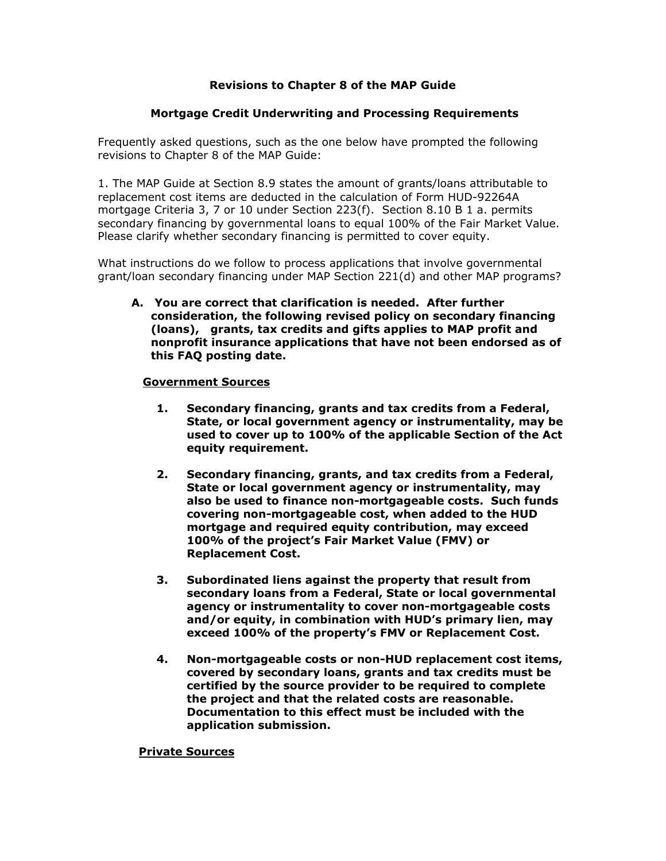# **Revisions to Chapter 8 of the MAP Guide**

## **Mortgage Credit Underwriting and Processing Requirements**

Frequently asked questions, such as the one below have prompted the following revisions to Chapter 8 of the MAP Guide:

1. The MAP Guide at Section 8.9 states the amount of grants/loans attributable to replacement cost items are deducted in the calculation of Form HUD-92264A mortgage Criteria 3, 7 or 10 under Section 223(f). Section 8.10 B 1 a. permits secondary financing by governmental loans to equal 100% of the Fair Market Value. Please clarify whether secondary financing is permitted to cover equity.

What instructions do we follow to process applications that involve governmental grant/loan secondary financing under MAP Section 221(d) and other MAP programs?

**A. You are correct that clarification is needed. After further consideration, the following revised policy on secondary financing (loans), grants, tax credits and gifts applies to MAP profit and nonprofit insurance applications that have not been endorsed as of this FAQ posting date.** 

### **Government Sources**

- **1. Secondary financing, grants and tax credits from a Federal, State, or local government agency or instrumentality, may be used to cover up to 100% of the applicable Section of the Act equity requirement.**
- **2. Secondary financing, grants, and tax credits from a Federal, State or local government agency or instrumentality, may also be used to finance non-mortgageable costs. Such funds covering non-mortgageable cost, when added to the HUD mortgage and required equity contribution, may exceed 100% of the project's Fair Market Value (FMV) or Replacement Cost.**
- **3. Subordinated liens against the property that result from secondary loans from a Federal, State or local governmental agency or instrumentality to cover non-mortgageable costs and/or equity, in combination with HUD's primary lien, may exceed 100% of the property's FMV or Replacement Cost.**
- **4. Non-mortgageable costs or non-HUD replacement cost items, covered by secondary loans, grants and tax credits must be certified by the source provider to be required to complete the project and that the related costs are reasonable. Documentation to this effect must be included with the application submission.**

#### **Private Sources**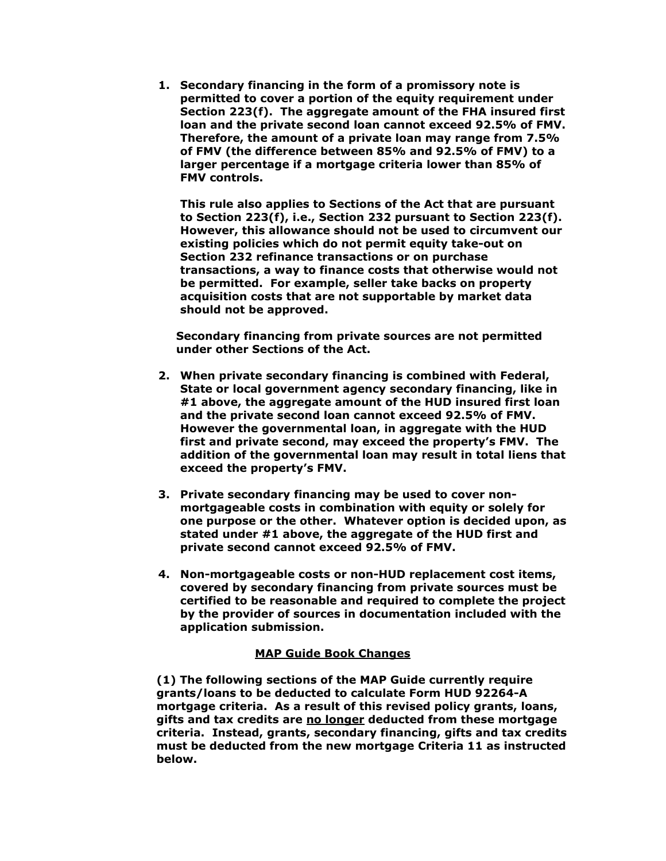**1. Secondary financing in the form of a promissory note is permitted to cover a portion of the equity requirement under Section 223(f). The aggregate amount of the FHA insured first loan and the private second loan cannot exceed 92.5% of FMV. Therefore, the amount of a private loan may range from 7.5% of FMV (the difference between 85% and 92.5% of FMV) to a larger percentage if a mortgage criteria lower than 85% of FMV controls.** 

**This rule also applies to Sections of the Act that are pursuant to Section 223(f), i.e., Section 232 pursuant to Section 223(f). However, this allowance should not be used to circumvent our existing policies which do not permit equity take-out on Section 232 refinance transactions or on purchase transactions, a way to finance costs that otherwise would not be permitted. For example, seller take backs on property acquisition costs that are not supportable by market data should not be approved.** 

**Secondary financing from private sources are not permitted under other Sections of the Act.** 

- **2. When private secondary financing is combined with Federal, State or local government agency secondary financing, like in #1 above, the aggregate amount of the HUD insured first loan and the private second loan cannot exceed 92.5% of FMV. However the governmental loan, in aggregate with the HUD first and private second, may exceed the property's FMV. The addition of the governmental loan may result in total liens that exceed the property's FMV.**
- **3. Private secondary financing may be used to cover nonmortgageable costs in combination with equity or solely for one purpose or the other. Whatever option is decided upon, as stated under #1 above, the aggregate of the HUD first and private second cannot exceed 92.5% of FMV.**
- **4. Non-mortgageable costs or non-HUD replacement cost items, covered by secondary financing from private sources must be certified to be reasonable and required to complete the project by the provider of sources in documentation included with the application submission.**

## **MAP Guide Book Changes**

**(1) The following sections of the MAP Guide currently require grants/loans to be deducted to calculate Form HUD 92264-A mortgage criteria. As a result of this revised policy grants, loans, gifts and tax credits are no longer deducted from these mortgage criteria. Instead, grants, secondary financing, gifts and tax credits must be deducted from the new mortgage Criteria 11 as instructed below.**